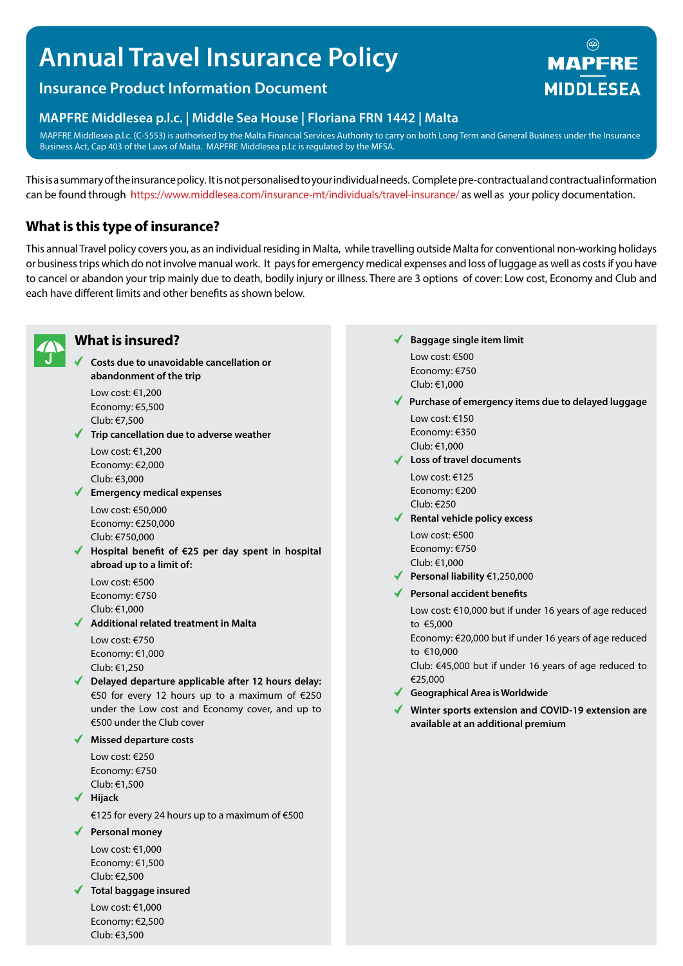# **Annual Travel Insurance Policy**

# **Insurance Product Information Document**

# **MAPFRE Middlesea p.l.c. | Middle Sea House | Floriana FRN 1442 | Malta**

MAPFRE Middlesea p.l.c. (C-5553) is authorised by the Malta Financial Services Authority to carry on both Long Term and General Business under the Insurance Business Act, Cap 403 of the Laws of Malta. MAPFRE Middlesea p.l.c is regulated by the MFSA.

This is a summary of the insurance policy. It is not personalised to your individual needs. Complete pre-contractual and contractual information can be found through https://www.middlesea.com/insurance-mt/individuals/travel-insurance/ as well as your policy documentation.

# **What is this type of insurance?**

This annual Travel policy covers you, as an individual residing in Malta, while travelling outside Malta for conventional non-working holidays or business trips which do not involve manual work. It pays for emergency medical expenses and loss of luggage as well as costs if you have to cancel or abandon your trip mainly due to death, bodily injury or illness. There are 3 options of cover: Low cost, Economy and Club and each have different limits and other benefits as shown below.



# **What is insured?**

**Costs due to unavoidable cancellation or abandonment of the trip**

Low cost: €1,200 Economy: €5,500 Club: €7,500

**Trip cancellation due to adverse weather** Low cost: €1,200

Economy: €2,000 Club: €3,000

**Emergency medical expenses**

Low cost: €50,000 Economy: €250,000 Club: €750,000

**Hospital benefit of €25 per day spent in hospital abroad up to a limit of:**

Low cost: €500 Economy: €750 Club: €1,000

**Additional related treatment in Malta** Low cost: €750

Economy: €1,000 Club: €1,250

**Delayed departure applicable after 12 hours delay:**  €50 for every 12 hours up to a maximum of €250 under the Low cost and Economy cover, and up to €500 under the Club cover

#### **Missed departure costs**

Low cost: €250 Economy: €750 Club: €1,500

**Hijack**

€125 for every 24 hours up to a maximum of €500

#### **Personal money**

Low cost: €1,000 Economy: €1,500 Club: €2,500

#### **Total baggage insured**

Low cost: €1,000 Economy: €2,500 Club: €3,500

- **Baggage single item limit** Low cost: €500 Economy: €750 Club: €1,000
- **Purchase of emergency items due to delayed luggage**

Low cost: €150 Economy: €350 Club: €1,000

**Loss of travel documents**

Low cost: €125 Economy: €200 Club: €250

- **Rental vehicle policy excess** Low cost: €500 Economy: €750 Club: €1,000
- **Personal liability** €1,250,000
- **Personal accident benefits**

Low cost: €10,000 but if under 16 years of age reduced to €5,000

Economy: €20,000 but if under 16 years of age reduced to €10,000

Club: €45,000 but if under 16 years of age reduced to €25,000

- **Geographical Area is Worldwide**
- **Winter sports extension and COVID-19 extension are available at an additional premium**